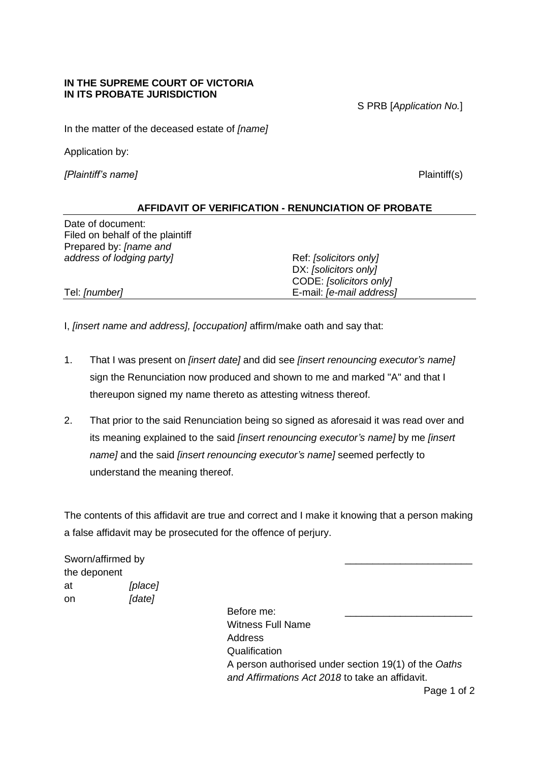## **IN THE SUPREME COURT OF VICTORIA IN ITS PROBATE JURISDICTION**

S PRB [*Application No.*]

In the matter of the deceased estate of *[name]*

Application by:

*[Plaintiff's name]* Plaintiff(s)

## **AFFIDAVIT OF VERIFICATION - RENUNCIATION OF PROBATE**

Date of document: Filed on behalf of the plaintiff Prepared by: *[name and address of lodging party* and *Ref: [solicitors only]* 

DX: *[solicitors only]* CODE: *[solicitors only]* Tel: *[number]* E-mail: *[e-mail address]*

I, *[insert name and address], [occupation]* affirm/make oath and say that:

- 1. That I was present on *[insert date]* and did see *[insert renouncing executor's name]*  sign the Renunciation now produced and shown to me and marked "A" and that I thereupon signed my name thereto as attesting witness thereof.
- 2. That prior to the said Renunciation being so signed as aforesaid it was read over and its meaning explained to the said *[insert renouncing executor's name]* by me *[insert name]* and the said *[insert renouncing executor's name]* seemed perfectly to understand the meaning thereof.

The contents of this affidavit are true and correct and I make it knowing that a person making a false affidavit may be prosecuted for the offence of perjury.

Sworn/affirmed by the deponent at *[place]* on *[date]*

Before me: Witness Full Name Address **Qualification** A person authorised under section 19(1) of the *Oaths and Affirmations Act 2018* to take an affidavit.

Page 1 of 2